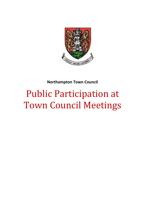

# **Northampton Town Council**

# Public Participation at Town Council Meetings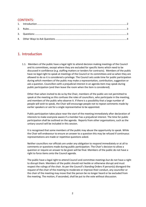#### CONTENTS:

## <span id="page-1-0"></span>1. Introduction

1.1. Members of the public have a legal right to attend decision making meetings of the Council and its committees, except where they are excluded for specific items which need to be discussed in confidence (e.g. staffing matters or tenders for contracts). Members of the public have no legal right to speak at meetings of the Council or its committees and so when they are allowed to do so it is considered a privilege. The Council sets aside time for public participation during which members of the public may make a representation, contribution, suggestion or ask a question. Councillors with a prejudicial interest in an agenda item may speak during public participation (and then leave the room when the item is considered).

Other than when invited to do so by the Chair, members of the public are not permitted to speak at the meeting as this confuses the roles of councillors, who participate in the meeting, and members of the public who observe it. If there is a possibility that a large number of people will wish to speak, the Chair will encourage people not to repeat comments made by earlier speakers or ask for a single representative to be appointed.

Public participation takes place near the start of the meeting immediately after declaration of interests to make everyone aware if a member has a prejudicial interest. The time for public participation shall be outlined on the agenda. Reports from other organisations, such as the unitary council will be included in this session.

It is recognised that some members of the public may abuse the opportunity to speak. While the Chair will endeavour to ensure an answer to a question this may be refused if continuous representations are made or repetitive questions asked.

Neither councillors nor officials are under any obligation to respond immediately or at all to comments or questions made during public participation. The Chair's decision to allow a question or require an answer to be given will be final. Members of the public do not have a right to force items onto the Council agenda.

The public have a legal right to attend Council and committee meetings but do not have a right to disrupt them. Members of the public should not heckle or otherwise disrupt and must respect the rulings of the chair. As per the Council's Standing Orders If person(s) disregard the request of the chair of the meeting to moderate or improve their conduct, any councillor or the chair of the meeting may move that the person be no longer heard or be excluded from the meeting. The motion, if seconded, shall be put to the vote without discussion.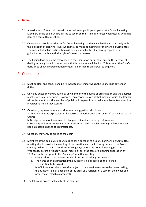### <span id="page-2-0"></span>2. Rules

- 2.1. A maximum of fifteen minutes will be set aside for public participation at a Council meeting. Members of the public will be invited to speak on their item of interest when dealing with that item at a committee meeting.
- 2.2. Questions may only be asked at full Council meetings as the main decision making body with the exception of planning issues which may be made at meetings of the Planning Committee. The conduct of public participation will be regulated by the Chair having regard to the guidelines set out but with the right of discretion reserved.
- 2.3. The Chairs decision on the relevance of a representation or question and on the method of dealing with any issue in connection with this procedure will be final. This includes the Chair's decision to allow a representation or question or require an answer to be given.

#### <span id="page-2-1"></span>3. Questions:

- 3.1. Must be clear and concise and be relevant to matters for which the Council has powers or duties.
- 3.2. Only one question may be asked by any member of the public or organisation and the question must relate to a single topic. However, if an answer is given at that meeting, which the Council will endeavour to do, the member of public will be permitted to ask a supplementary question in response should they want to.
- 3.3. Questions, representations, contributions or suggestions should not:

a. Contain offensive expressions or be personal or verbal attacks on any staff or member of the Council.

b. Divulge, or require the answer to divulge confidential or exempt information.

c. Repeat questions or representations previously asked at earlier meetings unless there has been a material change of circumstances.

- 3.4. Questions may only be asked of the Chair.
- 3.5. Members of the public wishing wishing to ask a question at a Council or Planning Committee meeting should provide the wording of the question and the following details to the Town Clerk by no later than 4.00 pm three working days before the Council meeting (e.g. the Wednesday before a Monday council meeting), or in the case of a planning application by 12.00 noon the day prior to the Planning Committee meeting:
	- a. Name, address and contact details of the person asking the question.
	- b. The name of an organisation if the question is being asked on their behalf.
	- c. The question to be asked.
	- d. Brief information about how the subject of the question relates to the person asking the question (e.g. as a resident of the area, as a recipient of a service, the owner of a property affected by a proposal).

3.6. The following process will apply at the meeting: